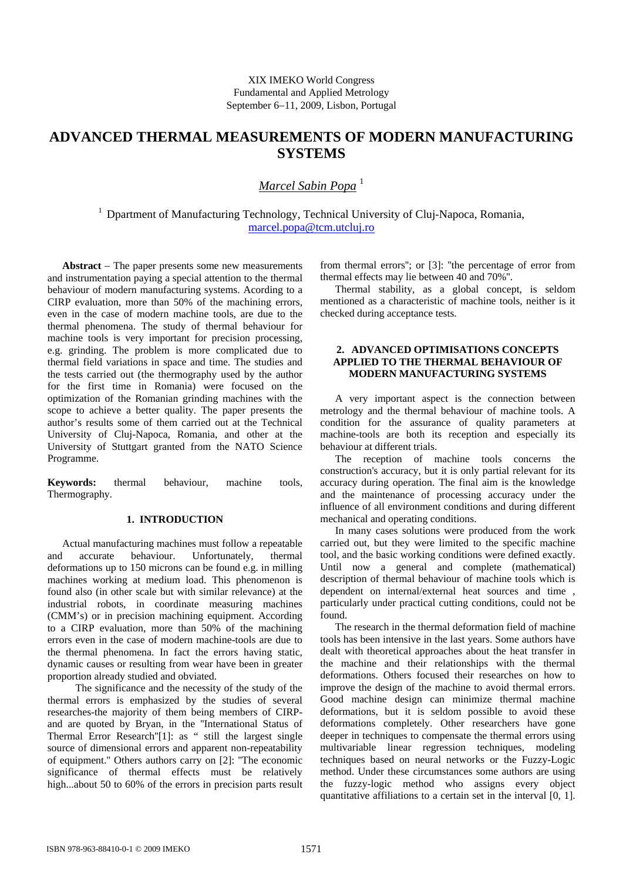# **ADVANCED THERMAL MEASUREMENTS OF MODERN MANUFACTURING SYSTEMS**

## *Marcel Sabin Popa* <sup>1</sup>

<sup>1</sup> Dpartment of Manufacturing Technology, Technical University of Cluj-Napoca, Romania, marcel.popa@tcm.utcluj.ro

**Abstract** − The paper presents some new measurements and instrumentation paying a special attention to the thermal behaviour of modern manufacturing systems. Acording to a CIRP evaluation, more than 50% of the machining errors, even in the case of modern machine tools, are due to the thermal phenomena. The study of thermal behaviour for machine tools is very important for precision processing, e.g. grinding. The problem is more complicated due to thermal field variations in space and time. The studies and the tests carried out (the thermography used by the author for the first time in Romania) were focused on the optimization of the Romanian grinding machines with the scope to achieve a better quality. The paper presents the author's results some of them carried out at the Technical University of Cluj-Napoca, Romania, and other at the University of Stuttgart granted from the NATO Science Programme.

**Keywords:** thermal behaviour, machine tools, Thermography.

#### **1. INTRODUCTION**

Actual manufacturing machines must follow a repeatable and accurate behaviour. Unfortunately, thermal deformations up to 150 microns can be found e.g. in milling machines working at medium load. This phenomenon is found also (in other scale but with similar relevance) at the industrial robots, in coordinate measuring machines (CMM's) or in precision machining equipment. According to a CIRP evaluation, more than 50% of the machining errors even in the case of modern machine-tools are due to the thermal phenomena. In fact the errors having static, dynamic causes or resulting from wear have been in greater proportion already studied and obviated.

 The significance and the necessity of the study of the thermal errors is emphasized by the studies of several researches-the majority of them being members of CIRPand are quoted by Bryan, in the ''International Status of Thermal Error Research''[1]: as " still the largest single source of dimensional errors and apparent non-repeatability of equipment.'' Others authors carry on [2]: ''The economic significance of thermal effects must be relatively high...about 50 to 60% of the errors in precision parts result from thermal errors''; or [3]: ''the percentage of error from thermal effects may lie between 40 and 70%''.

Thermal stability, as a global concept, is seldom mentioned as a characteristic of machine tools, neither is it checked during acceptance tests.

#### **2. ADVANCED OPTIMISATIONS CONCEPTS APPLIED TO THE THERMAL BEHAVIOUR OF MODERN MANUFACTURING SYSTEMS**

A very important aspect is the connection between metrology and the thermal behaviour of machine tools. A condition for the assurance of quality parameters at machine-tools are both its reception and especially its behaviour at different trials.

The reception of machine tools concerns the construction's accuracy, but it is only partial relevant for its accuracy during operation. The final aim is the knowledge and the maintenance of processing accuracy under the influence of all environment conditions and during different mechanical and operating conditions.

In many cases solutions were produced from the work carried out, but they were limited to the specific machine tool, and the basic working conditions were defined exactly. Until now a general and complete (mathematical) description of thermal behaviour of machine tools which is dependent on internal/external heat sources and time , particularly under practical cutting conditions, could not be found.

The research in the thermal deformation field of machine tools has been intensive in the last years. Some authors have dealt with theoretical approaches about the heat transfer in the machine and their relationships with the thermal deformations. Others focused their researches on how to improve the design of the machine to avoid thermal errors. Good machine design can minimize thermal machine deformations, but it is seldom possible to avoid these deformations completely. Other researchers have gone deeper in techniques to compensate the thermal errors using multivariable linear regression techniques, modeling techniques based on neural networks or the Fuzzy-Logic method. Under these circumstances some authors are using the fuzzy-logic method who assigns every object quantitative affiliations to a certain set in the interval [0, 1].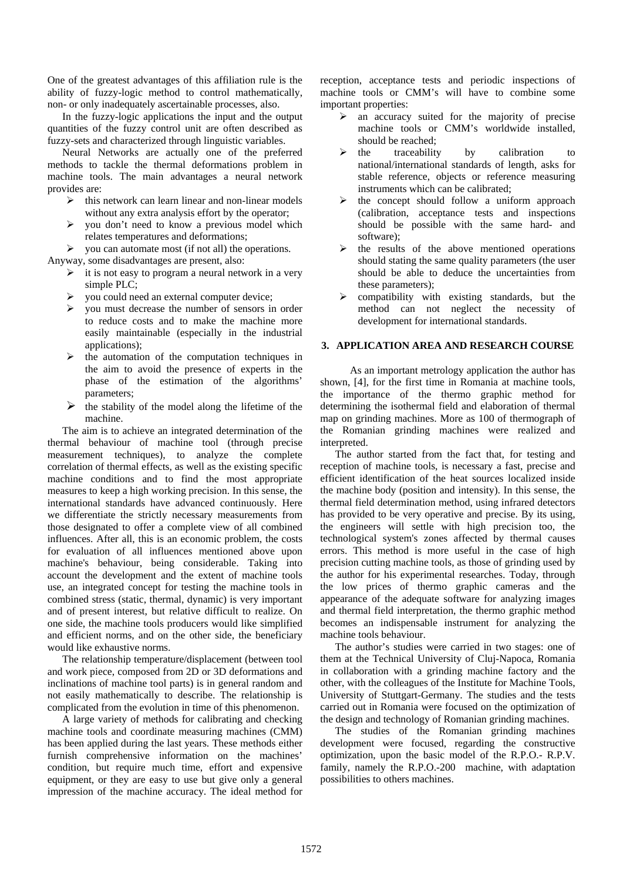One of the greatest advantages of this affiliation rule is the ability of fuzzy-logic method to control mathematically, non- or only inadequately ascertainable processes, also.

In the fuzzy-logic applications the input and the output quantities of the fuzzy control unit are often described as fuzzy-sets and characterized through linguistic variables.

Neural Networks are actually one of the preferred methods to tackle the thermal deformations problem in machine tools. The main advantages a neural network provides are:

- $\triangleright$  this network can learn linear and non-linear models without any extra analysis effort by the operator;
- $\triangleright$  you don't need to know a previous model which relates temperatures and deformations;
- $\triangleright$  you can automate most (if not all) the operations.

Anyway, some disadvantages are present, also:

- $\triangleright$  it is not easy to program a neural network in a very simple PLC;
- ¾ you could need an external computer device;
- ¾ you must decrease the number of sensors in order to reduce costs and to make the machine more easily maintainable (especially in the industrial applications);
- $\triangleright$  the automation of the computation techniques in the aim to avoid the presence of experts in the phase of the estimation of the algorithms' parameters;
- $\triangleright$  the stability of the model along the lifetime of the machine.

The aim is to achieve an integrated determination of the thermal behaviour of machine tool (through precise measurement techniques), to analyze the complete correlation of thermal effects, as well as the existing specific machine conditions and to find the most appropriate measures to keep a high working precision. In this sense, the international standards have advanced continuously. Here we differentiate the strictly necessary measurements from those designated to offer a complete view of all combined influences. After all, this is an economic problem, the costs for evaluation of all influences mentioned above upon machine's behaviour, being considerable. Taking into account the development and the extent of machine tools use, an integrated concept for testing the machine tools in combined stress (static, thermal, dynamic) is very important and of present interest, but relative difficult to realize. On one side, the machine tools producers would like simplified and efficient norms, and on the other side, the beneficiary would like exhaustive norms.

The relationship temperature/displacement (between tool and work piece, composed from 2D or 3D deformations and inclinations of machine tool parts) is in general random and not easily mathematically to describe. The relationship is complicated from the evolution in time of this phenomenon.

A large variety of methods for calibrating and checking machine tools and coordinate measuring machines (CMM) has been applied during the last years. These methods either furnish comprehensive information on the machines' condition, but require much time, effort and expensive equipment, or they are easy to use but give only a general impression of the machine accuracy. The ideal method for

reception, acceptance tests and periodic inspections of machine tools or CMM's will have to combine some important properties:

- $\triangleright$  an accuracy suited for the majority of precise machine tools or CMM's worldwide installed, should be reached;
- the traceability by calibration to national/international standards of length, asks for stable reference, objects or reference measuring instruments which can be calibrated;
- $\triangleright$  the concept should follow a uniform approach (calibration, acceptance tests and inspections should be possible with the same hard- and software);
- ¾ the results of the above mentioned operations should stating the same quality parameters (the user should be able to deduce the uncertainties from these parameters);
- compatibility with existing standards, but the method can not neglect the necessity of development for international standards.

#### **3. APPLICATION AREA AND RESEARCH COURSE**

 As an important metrology application the author has shown, [4], for the first time in Romania at machine tools, the importance of the thermo graphic method for determining the isothermal field and elaboration of thermal map on grinding machines. More as 100 of thermograph of the Romanian grinding machines were realized and interpreted.

The author started from the fact that, for testing and reception of machine tools, is necessary a fast, precise and efficient identification of the heat sources localized inside the machine body (position and intensity). In this sense, the thermal field determination method, using infrared detectors has provided to be very operative and precise. By its using, the engineers will settle with high precision too, the technological system's zones affected by thermal causes errors. This method is more useful in the case of high precision cutting machine tools, as those of grinding used by the author for his experimental researches. Today, through the low prices of thermo graphic cameras and the appearance of the adequate software for analyzing images and thermal field interpretation, the thermo graphic method becomes an indispensable instrument for analyzing the machine tools behaviour.

The author's studies were carried in two stages: one of them at the Technical University of Cluj-Napoca, Romania in collaboration with a grinding machine factory and the other, with the colleagues of the Institute for Machine Tools, University of Stuttgart-Germany. The studies and the tests carried out in Romania were focused on the optimization of the design and technology of Romanian grinding machines.

The studies of the Romanian grinding machines development were focused, regarding the constructive optimization, upon the basic model of the R.P.O.- R.P.V. family, namely the R.P.O.-200 machine, with adaptation possibilities to others machines.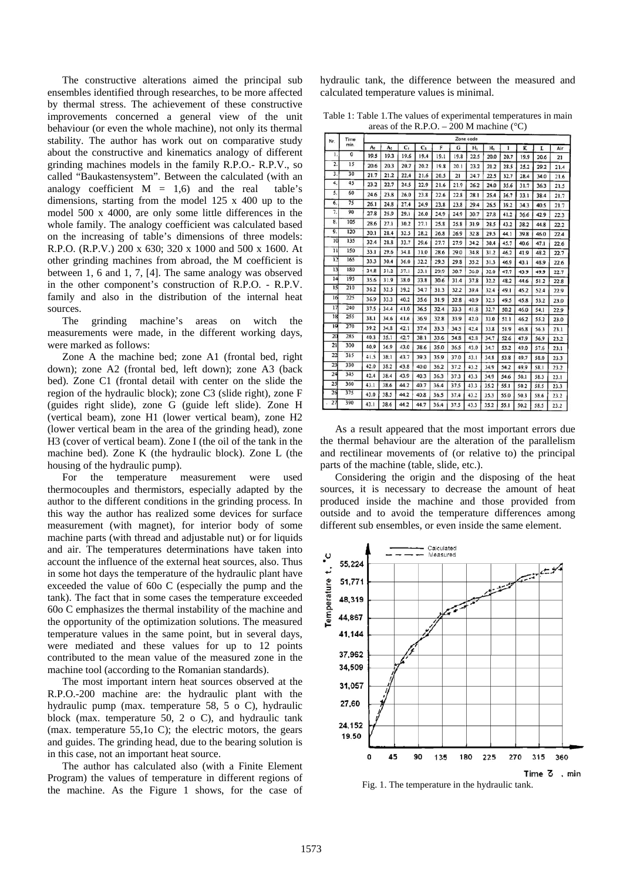The constructive alterations aimed the principal sub ensembles identified through researches, to be more affected by thermal stress. The achievement of these constructive improvements concerned a general view of the unit behaviour (or even the whole machine), not only its thermal stability. The author has work out on comparative study about the constructive and kinematics analogy of different grinding machines models in the family R.P.O.- R.P.V., so called "Baukastensystem". Between the calculated (with an analogy coefficient  $M = 1,6$  and the real table's dimensions, starting from the model 125 x 400 up to the model 500 x 4000, are only some little differences in the whole family. The analogy coefficient was calculated based on the increasing of table's dimensions of three models: R.P.O. (R.P.V.) 200 x 630; 320 x 1000 and 500 x 1600. At other grinding machines from abroad, the M coefficient is between 1, 6 and 1, 7, [4]. The same analogy was observed in the other component's construction of R.P.O. - R.P.V. family and also in the distribution of the internal heat sources.

The grinding machine's areas on witch the measurements were made, in the different working days, were marked as follows:

Zone A the machine bed; zone A1 (frontal bed, right down); zone A2 (frontal bed, left down); zone A3 (back bed). Zone C1 (frontal detail with center on the slide the region of the hydraulic block); zone C3 (slide right), zone F (guides right slide), zone G (guide left slide). Zone H (vertical beam), zone H1 (lower vertical beam), zone H2 (lower vertical beam in the area of the grinding head), zone H3 (cover of vertical beam). Zone I (the oil of the tank in the machine bed). Zone K (the hydraulic block). Zone L (the housing of the hydraulic pump).

For the temperature measurement were used thermocouples and thermistors, especially adapted by the author to the different conditions in the grinding process. In this way the author has realized some devices for surface measurement (with magnet), for interior body of some machine parts (with thread and adjustable nut) or for liquids and air. The temperatures determinations have taken into account the influence of the external heat sources, also. Thus in some hot days the temperature of the hydraulic plant have exceeded the value of 60o C (especially the pump and the tank). The fact that in some cases the temperature exceeded 60o C emphasizes the thermal instability of the machine and the opportunity of the optimization solutions. The measured temperature values in the same point, but in several days, were mediated and these values for up to 12 points contributed to the mean value of the measured zone in the machine tool (according to the Romanian standards).

The most important intern heat sources observed at the R.P.O.-200 machine are: the hydraulic plant with the hydraulic pump (max. temperature 58, 5 o C), hydraulic block (max. temperature 50, 2 o C), and hydraulic tank (max. temperature 55,1o C); the electric motors, the gears and guides. The grinding head, due to the bearing solution is in this case, not an important heat source.

The author has calculated also (with a Finite Element Program) the values of temperature in different regions of the machine. As the Figure 1 shows, for the case of

hydraulic tank, the difference between the measured and calculated temperature values is minimal.

Table 1: Table 1.The values of experimental temperatures in main areas of the R.P.O. –  $200$  M machine ( $^{\circ}$ C)

| Nr.          | Time<br>min. | Zone code |                |      |                |      |      |      |       |      |      |      |      |
|--------------|--------------|-----------|----------------|------|----------------|------|------|------|-------|------|------|------|------|
|              |              | A:        | A <sub>2</sub> | c,   | C <sub>3</sub> | F    | G    | н,   | $H_1$ | 1    | K    | L    | Air  |
| 1.           | $\mathbf 0$  | 19.5      | 19.3           | 19.6 | 19.4           | 19.1 | 19.8 | 22.5 | 20.0  | 20.7 | 19.9 | 20.6 | 21   |
| 2.           | 15           | 20.6      | 20.3           | 20.7 | 20.2           | 19.8 | 20.1 | 23.2 | 21.2  | 28.5 | 25.2 | 29.2 | 21.4 |
| 3.           | 30           | 21.7      | 21.2           | 22.4 | 21.6           | 20.5 | 21   | 24.7 | 22.5  | 32.7 | 28.4 | 34.0 | 21.6 |
| 4.           | 45           | 23.2      | 22.7           | 24.5 | 22.9           | 21.6 | 21.9 | 26.2 | 24.0  | 35.6 | 31.7 | 36.3 | 21.5 |
| 5.           | 60           | 24.6      | 23.8           | 26.0 | 23.8           | 22.6 | 22.8 | 28.1 | 25.4  | 36.7 | 33.1 | 38.4 | 21.7 |
| 6.           | 75           | 26.1      | 24.8           | 27.4 | 24.9           | 23.8 | 23.8 | 29.4 | 26.5  | 39.2 | 34.3 | 40.5 | 21.7 |
| 7.           | 90           | 27.8      | 25.9           | 29.1 | 26.0           | 24.9 | 24.9 | 30.7 | 27.8  | 41.2 | 36.6 | 42.9 | 22.3 |
| 8.           | 105          | 28.6      | 27.1           | 30.2 | 27.1           | 25.8 | 25.8 | 31.9 | 28.5  | 43.2 | 38.2 | 44.8 | 22.2 |
| 9.           | 120          | 30.1      | 28.4           | 32.5 | 28.2           | 26.8 | 26.9 | 32.8 | 29.5  | 44.1 | 39.8 | 46.0 | 22.4 |
| 10           | 135          | 32.4      | 28.8           | 33.7 | 29.6           | 27.7 | 27.9 | 34.2 | 30.4  | 45.7 | 40.6 | 47.1 | 22.6 |
| $\mathbf{1}$ | 150          | 33.1      | 29.6           | 34.8 | 31.0           | 28.6 | 29.0 | 34.8 | 31.2  | 46.2 | 41.9 | 48.2 | 22.7 |
| 12           | 165          | 33.3      | 30.4           | 36.0 | 32.2           | 29.3 | 29.8 | 35.2 | 31.3  | 46.9 | 43.1 | 48.9 | 22.6 |
| 13           | 180          | 34.8      | 31.2           | 37.1 | 33.1           | 29.9 | 30.7 | 36.0 | 32.0  | 47.7 | 43.9 | 49.9 | 22.7 |
| 14           | 195          | 35.6      | 31.9           | 38.0 | 33.8           | 30.6 | 31.4 | 37.8 | 32.2  | 48.2 | 44.6 | 51.2 | 22.8 |
| 15           | 210          | 36.2      | 32.5           | 39.2 | 34.7           | 31.3 | 32.2 | 39.4 | 32.4  | 49.1 | 45.2 | 52.4 | 22.9 |
| 16           | 225          | 36.9      | 33.3           | 40.2 | 35.6           | 31.9 | 32.8 | 40.9 | 32.5  | 49.5 | 45.8 | 53.2 | 23.0 |
| 17           | 240          | 37.5      | 34.4           | 41.0 | 36.5           | 32.4 | 33.3 | 41.8 | 32.7  | 50.2 | 46.0 | 54.1 | 22.9 |
| 18           | 255          | 38.1      | 34.6           | 41.6 | 36.9           | 32.8 | 33.9 | 42.0 | 33.0  | 51.1 | 46.2 | 55.2 | 23.0 |
| 19           | 270          | 39.2      | 34.8           | 42.1 | 37.4           | 33.3 | 34.5 | 42.4 | 33.8  | 51.9 | 46.8 | 56.3 | 23.1 |
| 20           | 285          | 40.3      | 35.1           | 42.7 | 38.1           | 33.6 | 34.8 | 42.8 | 34.7  | 52.6 | 47.9 | 56.9 | 23.2 |
| 21           | 300          | 40.9      | 36.9           | 43.0 | 38.6           | 35.0 | 36.5 | 43.0 | 34.7  | 53.2 | 49.0 | 57.6 | 23.1 |
| 22           | 315          | 41.5      | 38:1           | 43.7 | 39.3           | 35.9 | 37.0 | 43.1 | 34.8  | 53.8 | 49.7 | 58.0 | 23.3 |
| 23           | 330          | 42.0      | 38.2           | 43.8 | 40.0           | 36.2 | 37.2 | 43.2 | 34.9  | 54.2 | 49.9 | 58.1 | 23.2 |
| 24           | 345          | 42.4      | 38.4           | 43.9 | 40.3           | 36.3 | 37.3 | 43.3 | 34.9  | 54.6 | 50.1 | 58.3 | 23.1 |
| 25           | 360          | 43.1      | 38.6           | 44.2 | 40.7           | 36.4 | 37.5 | 43.3 | 35.2  | 55.1 | 50.2 | 58.5 | 23.3 |
| 26           | 375          | 43.0      | 38.5           | 44.2 | 40.8           | 36.5 | 37.4 | 43.2 | 35.3  | 55.0 | 50.3 | 58.6 | 23.2 |
| 27           | 390          | 43.1      | 38.6           | 44.2 | 44.7           | 36.4 | 37.5 | 43.3 | 35.2  | 55.1 | 50.2 | 58.5 | 23.2 |

As a result appeared that the most important errors due the thermal behaviour are the alteration of the parallelism and rectilinear movements of (or relative to) the principal parts of the machine (table, slide, etc.).

Considering the origin and the disposing of the heat sources, it is necessary to decrease the amount of heat produced inside the machine and those provided from outside and to avoid the temperature differences among different sub ensembles, or even inside the same element.



Fig. 1. The temperature in the hydraulic tank.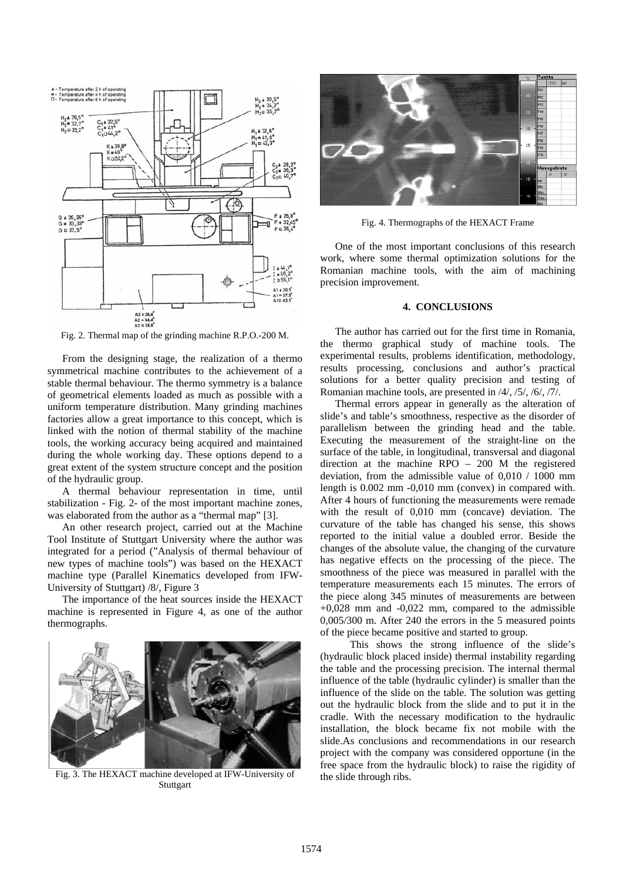

Fig. 2. Thermal map of the grinding machine R.P.O.-200 M.

From the designing stage, the realization of a thermo symmetrical machine contributes to the achievement of a stable thermal behaviour. The thermo symmetry is a balance of geometrical elements loaded as much as possible with a uniform temperature distribution. Many grinding machines factories allow a great importance to this concept, which is linked with the notion of thermal stability of the machine tools, the working accuracy being acquired and maintained during the whole working day. These options depend to a great extent of the system structure concept and the position of the hydraulic group.

A thermal behaviour representation in time, until stabilization - Fig. 2- of the most important machine zones, was elaborated from the author as a "thermal map" [3].

An other research project, carried out at the Machine Tool Institute of Stuttgart University where the author was integrated for a period ("Analysis of thermal behaviour of new types of machine tools") was based on the HEXACT machine type (Parallel Kinematics developed from IFW-University of Stuttgart) /8/, Figure 3

The importance of the heat sources inside the HEXACT machine is represented in Figure 4, as one of the author thermographs.



Fig. 3. The HEXACT machine developed at IFW-University of **Stuttgart** 



Fig. 4. Thermographs of the HEXACT Frame

One of the most important conclusions of this research work, where some thermal optimization solutions for the Romanian machine tools, with the aim of machining precision improvement.

### **4. CONCLUSIONS**

The author has carried out for the first time in Romania, the thermo graphical study of machine tools. The experimental results, problems identification, methodology, results processing, conclusions and author's practical solutions for a better quality precision and testing of Romanian machine tools, are presented in /4/, /5/, /6/, /7/.

Thermal errors appear in generally as the alteration of slide's and table's smoothness, respective as the disorder of parallelism between the grinding head and the table. Executing the measurement of the straight-line on the surface of the table, in longitudinal, transversal and diagonal direction at the machine RPO – 200 M the registered deviation, from the admissible value of 0,010 / 1000 mm length is 0.002 mm -0,010 mm (convex) in compared with. After 4 hours of functioning the measurements were remade with the result of 0,010 mm (concave) deviation. The curvature of the table has changed his sense, this shows reported to the initial value a doubled error. Beside the changes of the absolute value, the changing of the curvature has negative effects on the processing of the piece. The smoothness of the piece was measured in parallel with the temperature measurements each 15 minutes. The errors of the piece along 345 minutes of measurements are between  $+0,028$  mm and  $-0,022$  mm, compared to the admissible 0,005/300 m. After 240 the errors in the 5 measured points of the piece became positive and started to group.

 This shows the strong influence of the slide's (hydraulic block placed inside) thermal instability regarding the table and the processing precision. The internal thermal influence of the table (hydraulic cylinder) is smaller than the influence of the slide on the table. The solution was getting out the hydraulic block from the slide and to put it in the cradle. With the necessary modification to the hydraulic installation, the block became fix not mobile with the slide.As conclusions and recommendations in our research project with the company was considered opportune (in the free space from the hydraulic block) to raise the rigidity of the slide through ribs.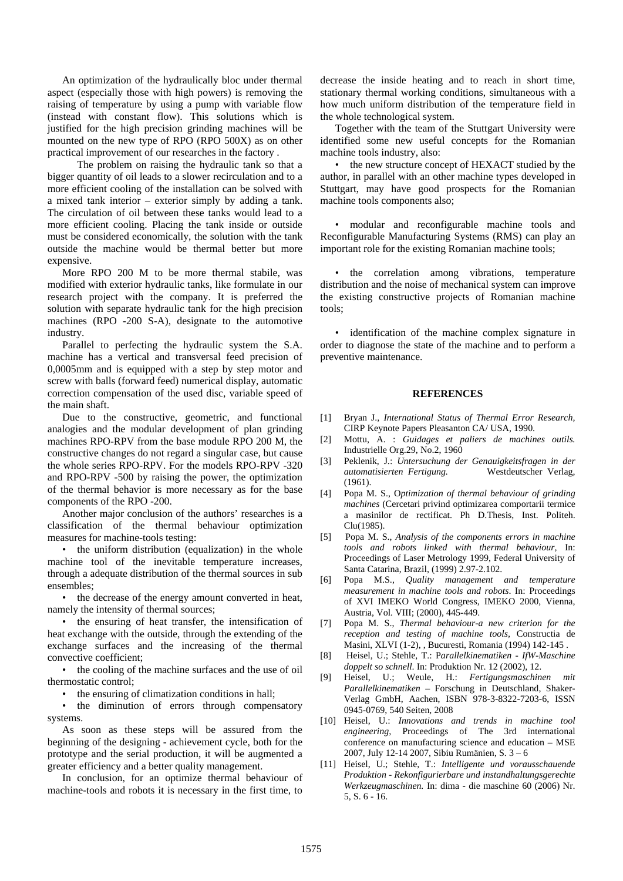An optimization of the hydraulically bloc under thermal aspect (especially those with high powers) is removing the raising of temperature by using a pump with variable flow (instead with constant flow). This solutions which is justified for the high precision grinding machines will be mounted on the new type of RPO (RPO 500X) as on other practical improvement of our researches in the factory .

 The problem on raising the hydraulic tank so that a bigger quantity of oil leads to a slower recirculation and to a more efficient cooling of the installation can be solved with a mixed tank interior – exterior simply by adding a tank. The circulation of oil between these tanks would lead to a more efficient cooling. Placing the tank inside or outside must be considered economically, the solution with the tank outside the machine would be thermal better but more expensive.

More RPO 200 M to be more thermal stabile, was modified with exterior hydraulic tanks, like formulate in our research project with the company. It is preferred the solution with separate hydraulic tank for the high precision machines (RPO -200 S-A), designate to the automotive industry.

Parallel to perfecting the hydraulic system the S.A. machine has a vertical and transversal feed precision of 0,0005mm and is equipped with a step by step motor and screw with balls (forward feed) numerical display, automatic correction compensation of the used disc, variable speed of the main shaft.

Due to the constructive, geometric, and functional analogies and the modular development of plan grinding machines RPO-RPV from the base module RPO 200 M, the constructive changes do not regard a singular case, but cause the whole series RPO-RPV. For the models RPO-RPV -320 and RPO-RPV -500 by raising the power, the optimization of the thermal behavior is more necessary as for the base components of the RPO -200.

Another major conclusion of the authors' researches is a classification of the thermal behaviour optimization measures for machine-tools testing:

• the uniform distribution (equalization) in the whole machine tool of the inevitable temperature increases, through a adequate distribution of the thermal sources in sub ensembles;

• the decrease of the energy amount converted in heat, namely the intensity of thermal sources;

• the ensuring of heat transfer, the intensification of heat exchange with the outside, through the extending of the exchange surfaces and the increasing of the thermal convective coefficient;

• the cooling of the machine surfaces and the use of oil thermostatic control;

• the ensuring of climatization conditions in hall;

• the diminution of errors through compensatory systems.

As soon as these steps will be assured from the beginning of the designing - achievement cycle, both for the prototype and the serial production, it will be augmented a greater efficiency and a better quality management.

In conclusion, for an optimize thermal behaviour of machine-tools and robots it is necessary in the first time, to

decrease the inside heating and to reach in short time, stationary thermal working conditions, simultaneous with a how much uniform distribution of the temperature field in the whole technological system.

Together with the team of the Stuttgart University were identified some new useful concepts for the Romanian machine tools industry, also:

• the new structure concept of HEXACT studied by the author, in parallel with an other machine types developed in Stuttgart, may have good prospects for the Romanian machine tools components also;

• modular and reconfigurable machine tools and Reconfigurable Manufacturing Systems (RMS) can play an important role for the existing Romanian machine tools;

• the correlation among vibrations, temperature distribution and the noise of mechanical system can improve the existing constructive projects of Romanian machine tools;

• identification of the machine complex signature in order to diagnose the state of the machine and to perform a preventive maintenance.

#### **REFERENCES**

- [1] Bryan J., *International Status of Thermal Error Research,* CIRP Keynote Papers Pleasanton CA/ USA, 1990.
- [2] Mottu, A. : *Guidages et paliers de machines outils.* Industrielle Org.29, No.2, 1960
- [3] Peklenik, J.: *Untersuchung der Genauigkeitsfragen in der automatisierten Fertigung.* Westdeutscher Verlag, (1961).
- [4] Popa M. S., O*ptimization of thermal behaviour of grinding machines* (Cercetari privind optimizarea comportarii termice a masinilor de rectificat. Ph D.Thesis, Inst. Politeh. Clu(1985).
- [5] Popa M. S., *Analysis of the components errors in machine tools and robots linked with thermal behaviour,* In: Proceedings of Laser Metrology 1999, Federal University of Santa Catarina, Brazil, (1999) 2.97-2.102.
- [6] Popa M.S., *Quality management and temperature measurement in machine tools and robots*. In: Proceedings of XVI IMEKO World Congress, IMEKO 2000, Vienna, Austria, Vol. VIII; (2000), 445-449.
- [7] Popa M. S., *Thermal behaviour-a new criterion for the reception and testing of machine tools,* Constructia de Masini, XLVI (1-2), , Bucuresti, Romania (1994) 142-145 .
- [8] Heisel, U.; Stehle, T.: P*arallelkinematiken IfW-Maschine doppelt so schnell*. In: Produktion Nr. 12 (2002), 12.
- [9] Heisel, U.; Weule, H.: *Fertigungsmaschinen mit Parallelkinematiken* – Forschung in Deutschland, Shaker-Verlag GmbH, Aachen, ISBN 978-3-8322-7203-6, ISSN 0945-0769, 540 Seiten, 2008
- [10] Heisel, U.: *Innovations and trends in machine tool engineering,* Proceedings of The 3rd international conference on manufacturing science and education – MSE 2007, July 12-14 2007, Sibiu Rumänien, S. 3 – 6
- [11] Heisel, U.; Stehle, T.: *Intelligente und vorausschauende Produktion - Rekonfigurierbare und instandhaltungsgerechte Werkzeugmaschinen.* In: dima - die maschine 60 (2006) Nr. 5, S. 6 - 16.